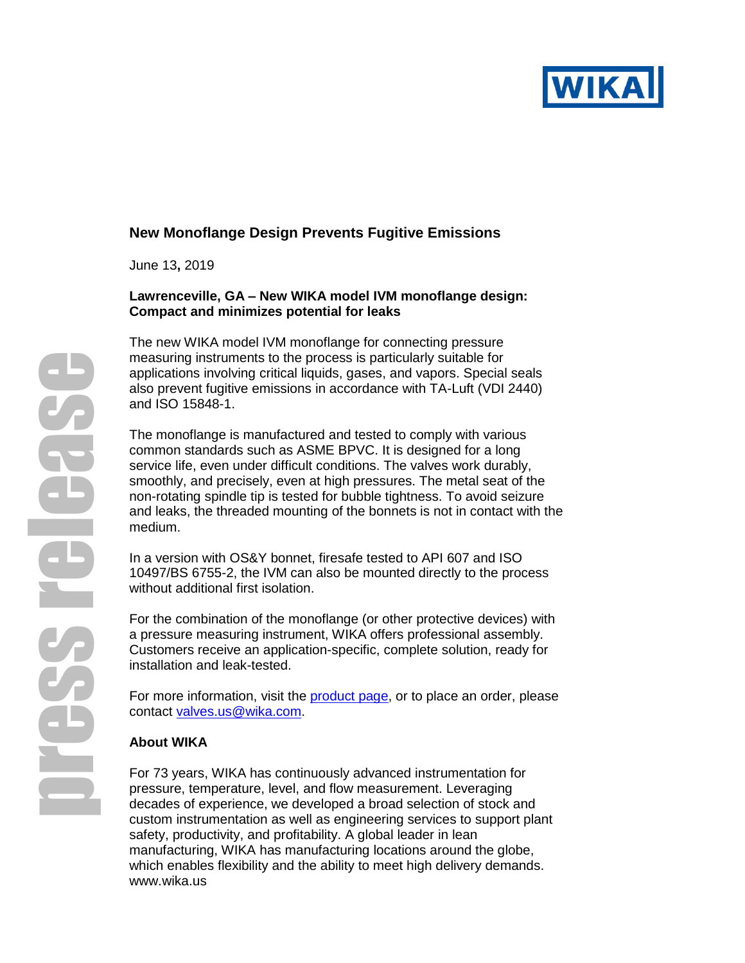

# **New Monoflange Design Prevents Fugitive Emissions**

June 13**,** 2019

#### **Lawrenceville, GA – New WIKA model IVM monoflange design: Compact and minimizes potential for leaks**

The new WIKA model IVM monoflange for connecting pressure measuring instruments to the process is particularly suitable for applications involving critical liquids, gases, and vapors. Special seals also prevent fugitive emissions in accordance with TA-Luft (VDI 2440) and ISO 15848-1.

The monoflange is manufactured and tested to comply with various common standards such as ASME BPVC. It is designed for a long service life, even under difficult conditions. The valves work durably, smoothly, and precisely, even at high pressures. The metal seat of the non-rotating spindle tip is tested for bubble tightness. To avoid seizure and leaks, the threaded mounting of the bonnets is not in contact with the medium.

In a version with OS&Y bonnet, firesafe tested to API 607 and ISO 10497/BS 6755-2, the IVM can also be mounted directly to the process without additional first isolation.

For the combination of the monoflange (or other protective devices) with a pressure measuring instrument, WIKA offers professional assembly. Customers receive an application-specific, complete solution, ready for installation and leak-tested.

For more information, visit the [product page,](https://www.wika.us/ivm_en_co.WIKA) or to place an order, please contact [valves.us@wika.com.](mailto:valves.us@wika.com)

## **About WIKA**

For 73 years, WIKA has continuously advanced instrumentation for pressure, temperature, level, and flow measurement. Leveraging decades of experience, we developed a broad selection of stock and custom instrumentation as well as engineering services to support plant safety, productivity, and profitability. A global leader in lean manufacturing, WIKA has manufacturing locations around the globe, which enables flexibility and the ability to meet high delivery demands. [www.wika.us](http://www.wika.us/)